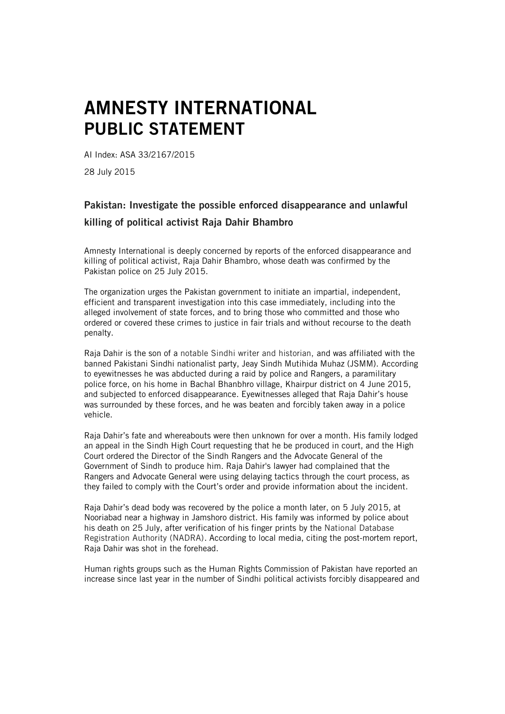## AMNESTY INTERNATIONAL PUBLIC STATEMENT

AI Index: ASA 33/2167/2015

28 July 2015

## Pakistan: Investigate the possible enforced disappearance and unlawful killing of political activist Raja Dahir Bhambro

Amnesty International is deeply concerned by reports of the enforced disappearance and killing of political activist, Raja Dahir Bhambro, whose death was confirmed by the Pakistan police on 25 July 2015.

The organization urges the Pakistan government to initiate an impartial, independent, efficient and transparent investigation into this case immediately, including into the alleged involvement of state forces, and to bring those who committed and those who ordered or covered these crimes to justice in fair trials and without recourse to the death penalty.

Raja Dahir is the son of a notable Sindhi writer and historian, and was affiliated with the banned Pakistani Sindhi nationalist party, Jeay Sindh Mutihida Muhaz (JSMM). According to eyewitnesses he was abducted during a raid by police and Rangers, a paramilitary police force, on his home in Bachal Bhanbhro village, Khairpur district on 4 June 2015, and subjected to enforced disappearance. Eyewitnesses alleged that Raja Dahir's house was surrounded by these forces, and he was beaten and forcibly taken away in a police vehicle.

Raja Dahir's fate and whereabouts were then unknown for over a month. His family lodged an appeal in the Sindh High Court requesting that he be produced in court, and the High Court ordered the Director of the Sindh Rangers and the Advocate General of the Government of Sindh to produce him. Raja Dahir's lawyer had complained that the Rangers and Advocate General were using delaying tactics through the court process, as they failed to comply with the Court's order and provide information about the incident.

Raja Dahir's dead body was recovered by the police a month later, on 5 July 2015, at Nooriabad near a highway in Jamshoro district. His family was informed by police about his death on 25 July, after verification of his finger prints by the National Database Registration Authority (NADRA). According to local media, citing the post-mortem report, Raja Dahir was shot in the forehead.

Human rights groups such as the Human Rights Commission of Pakistan have reported an increase since last year in the number of Sindhi political activists forcibly disappeared and